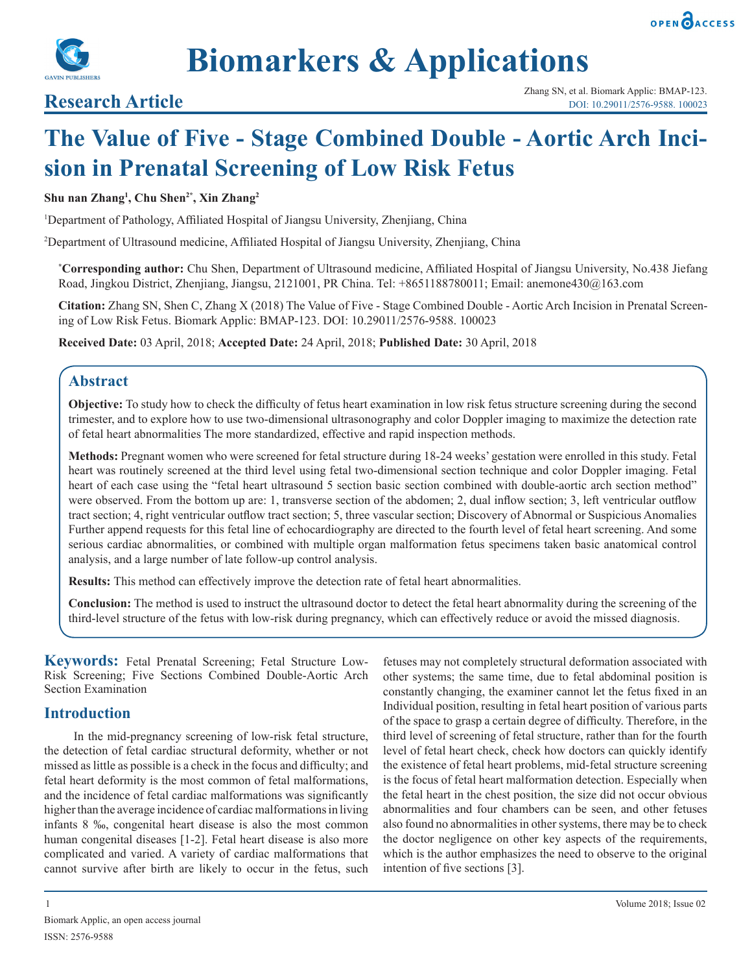



# **The Value of Five - Stage Combined Double - Aortic Arch Incision in Prenatal Screening of Low Risk Fetus**

### **Shu nan Zhang1 , Chu Shen2\*, Xin Zhang2**

<sup>1</sup>Department of Pathology, Affiliated Hospital of Jiangsu University, Zhenjiang, China

2 Department of Ultrasound medicine, Affiliated Hospital of Jiangsu University, Zhenjiang, China

**\* Corresponding author:** Chu Shen, Department of Ultrasound medicine, Affiliated Hospital of Jiangsu University, No.438 Jiefang Road, Jingkou District, Zhenjiang, Jiangsu, 2121001, PR China. Tel: +8651188780011; Email: anemone430@163.com

**Citation:** Zhang SN, Shen C, Zhang X (2018) The Value of Five - Stage Combined Double - Aortic Arch Incision in Prenatal Screening of Low Risk Fetus. Biomark Applic: BMAP-123. DOI: 10.29011/2576-9588. 100023

**Received Date:** 03 April, 2018; **Accepted Date:** 24 April, 2018; **Published Date:** 30 April, 2018

# **Abstract**

**Objective:** To study how to check the difficulty of fetus heart examination in low risk fetus structure screening during the second trimester, and to explore how to use two-dimensional ultrasonography and color Doppler imaging to maximize the detection rate of fetal heart abnormalities The more standardized, effective and rapid inspection methods.

**Methods:** Pregnant women who were screened for fetal structure during 18-24 weeks' gestation were enrolled in this study. Fetal heart was routinely screened at the third level using fetal two-dimensional section technique and color Doppler imaging. Fetal heart of each case using the "fetal heart ultrasound 5 section basic section combined with double-aortic arch section method" were observed. From the bottom up are: 1, transverse section of the abdomen; 2, dual inflow section; 3, left ventricular outflow tract section; 4, right ventricular outflow tract section; 5, three vascular section; Discovery of Abnormal or Suspicious Anomalies Further append requests for this fetal line of echocardiography are directed to the fourth level of fetal heart screening. And some serious cardiac abnormalities, or combined with multiple organ malformation fetus specimens taken basic anatomical control analysis, and a large number of late follow-up control analysis.

**Results:** This method can effectively improve the detection rate of fetal heart abnormalities.

**Conclusion:** The method is used to instruct the ultrasound doctor to detect the fetal heart abnormality during the screening of the third-level structure of the fetus with low-risk during pregnancy, which can effectively reduce or avoid the missed diagnosis.

**Keywords:** Fetal Prenatal Screening; Fetal Structure Low-Risk Screening; Five Sections Combined Double-Aortic Arch Section Examination

# **Introduction**

In the mid-pregnancy screening of low-risk fetal structure, the detection of fetal cardiac structural deformity, whether or not missed as little as possible is a check in the focus and difficulty; and fetal heart deformity is the most common of fetal malformations, and the incidence of fetal cardiac malformations was significantly higher than the average incidence of cardiac malformations in living infants 8 ‰, congenital heart disease is also the most common human congenital diseases [1-2]. Fetal heart disease is also more complicated and varied. A variety of cardiac malformations that cannot survive after birth are likely to occur in the fetus, such

Biomark Applic, an open access journal ISSN: 2576-9588

fetuses may not completely structural deformation associated with other systems; the same time, due to fetal abdominal position is constantly changing, the examiner cannot let the fetus fixed in an Individual position, resulting in fetal heart position of various parts of the space to grasp a certain degree of difficulty. Therefore, in the third level of screening of fetal structure, rather than for the fourth level of fetal heart check, check how doctors can quickly identify the existence of fetal heart problems, mid-fetal structure screening is the focus of fetal heart malformation detection. Especially when the fetal heart in the chest position, the size did not occur obvious abnormalities and four chambers can be seen, and other fetuses also found no abnormalities in other systems, there may be to check the doctor negligence on other key aspects of the requirements, which is the author emphasizes the need to observe to the original intention of five sections [3].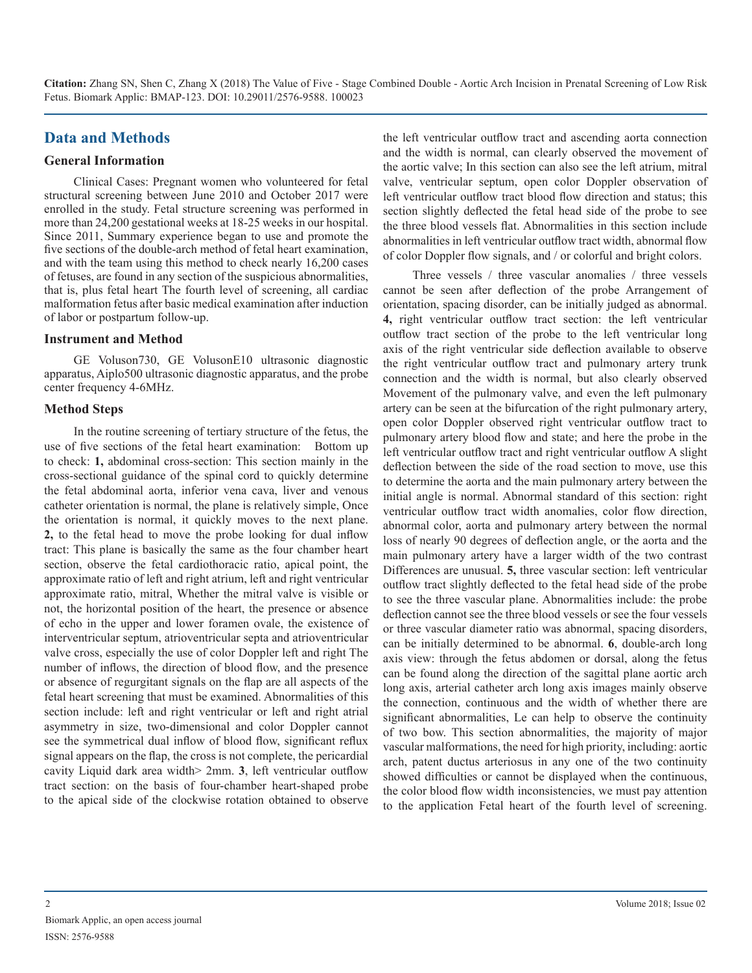# **Data and Methods**

#### **General Information**

Clinical Cases: Pregnant women who volunteered for fetal structural screening between June 2010 and October 2017 were enrolled in the study. Fetal structure screening was performed in more than 24,200 gestational weeks at 18-25 weeks in our hospital. Since 2011, Summary experience began to use and promote the five sections of the double-arch method of fetal heart examination, and with the team using this method to check nearly 16,200 cases of fetuses, are found in any section of the suspicious abnormalities, that is, plus fetal heart The fourth level of screening, all cardiac malformation fetus after basic medical examination after induction of labor or postpartum follow-up.

#### **Instrument and Method**

GE Voluson730, GE VolusonE10 ultrasonic diagnostic apparatus, Aiplo500 ultrasonic diagnostic apparatus, and the probe center frequency 4-6MHz.

#### **Method Steps**

In the routine screening of tertiary structure of the fetus, the use of five sections of the fetal heart examination: Bottom up to check: **1,** abdominal cross-section: This section mainly in the cross-sectional guidance of the spinal cord to quickly determine the fetal abdominal aorta, inferior vena cava, liver and venous catheter orientation is normal, the plane is relatively simple, Once the orientation is normal, it quickly moves to the next plane. **2,** to the fetal head to move the probe looking for dual inflow tract: This plane is basically the same as the four chamber heart section, observe the fetal cardiothoracic ratio, apical point, the approximate ratio of left and right atrium, left and right ventricular approximate ratio, mitral, Whether the mitral valve is visible or not, the horizontal position of the heart, the presence or absence of echo in the upper and lower foramen ovale, the existence of interventricular septum, atrioventricular septa and atrioventricular valve cross, especially the use of color Doppler left and right The number of inflows, the direction of blood flow, and the presence or absence of regurgitant signals on the flap are all aspects of the fetal heart screening that must be examined. Abnormalities of this section include: left and right ventricular or left and right atrial asymmetry in size, two-dimensional and color Doppler cannot see the symmetrical dual inflow of blood flow, significant reflux signal appears on the flap, the cross is not complete, the pericardial cavity Liquid dark area width> 2mm. **3**, left ventricular outflow tract section: on the basis of four-chamber heart-shaped probe to the apical side of the clockwise rotation obtained to observe

the left ventricular outflow tract and ascending aorta connection and the width is normal, can clearly observed the movement of the aortic valve; In this section can also see the left atrium, mitral valve, ventricular septum, open color Doppler observation of left ventricular outflow tract blood flow direction and status; this section slightly deflected the fetal head side of the probe to see the three blood vessels flat. Abnormalities in this section include abnormalities in left ventricular outflow tract width, abnormal flow of color Doppler flow signals, and / or colorful and bright colors.

Three vessels / three vascular anomalies / three vessels cannot be seen after deflection of the probe Arrangement of orientation, spacing disorder, can be initially judged as abnormal. **4,** right ventricular outflow tract section: the left ventricular outflow tract section of the probe to the left ventricular long axis of the right ventricular side deflection available to observe the right ventricular outflow tract and pulmonary artery trunk connection and the width is normal, but also clearly observed Movement of the pulmonary valve, and even the left pulmonary artery can be seen at the bifurcation of the right pulmonary artery, open color Doppler observed right ventricular outflow tract to pulmonary artery blood flow and state; and here the probe in the left ventricular outflow tract and right ventricular outflow A slight deflection between the side of the road section to move, use this to determine the aorta and the main pulmonary artery between the initial angle is normal. Abnormal standard of this section: right ventricular outflow tract width anomalies, color flow direction, abnormal color, aorta and pulmonary artery between the normal loss of nearly 90 degrees of deflection angle, or the aorta and the main pulmonary artery have a larger width of the two contrast Differences are unusual. **5,** three vascular section: left ventricular outflow tract slightly deflected to the fetal head side of the probe to see the three vascular plane. Abnormalities include: the probe deflection cannot see the three blood vessels or see the four vessels or three vascular diameter ratio was abnormal, spacing disorders, can be initially determined to be abnormal. **6**, double-arch long axis view: through the fetus abdomen or dorsal, along the fetus can be found along the direction of the sagittal plane aortic arch long axis, arterial catheter arch long axis images mainly observe the connection, continuous and the width of whether there are significant abnormalities, Le can help to observe the continuity of two bow. This section abnormalities, the majority of major vascular malformations, the need for high priority, including: aortic arch, patent ductus arteriosus in any one of the two continuity showed difficulties or cannot be displayed when the continuous, the color blood flow width inconsistencies, we must pay attention to the application Fetal heart of the fourth level of screening.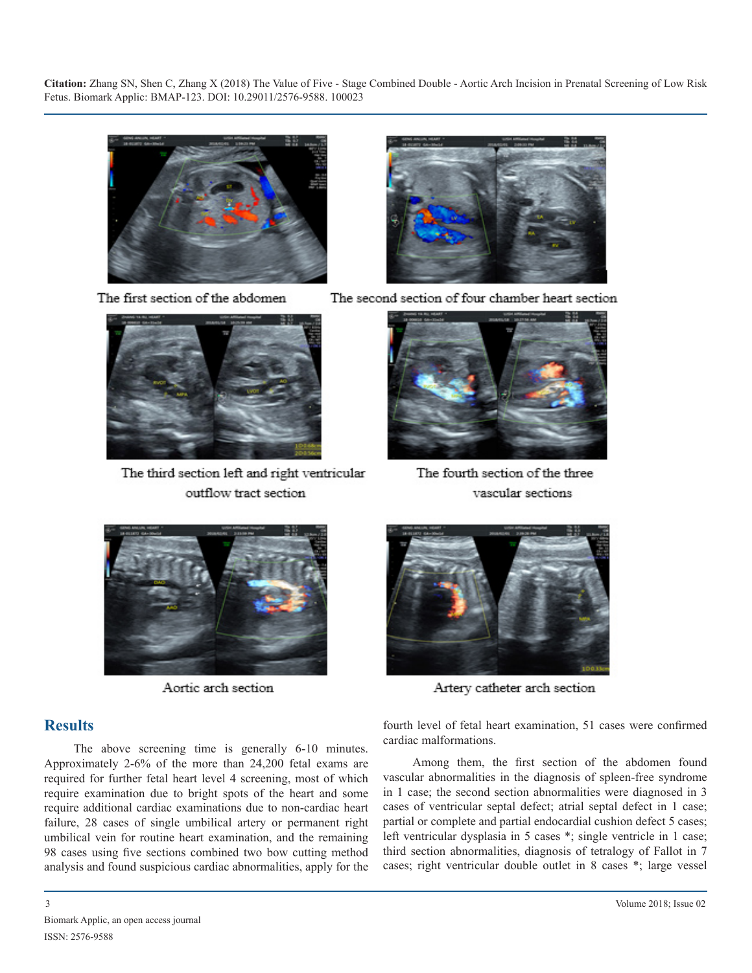

The first section of the abdomen



The third section left and right ventricular outflow tract section



The second section of four chamber heart section



The fourth section of the three vascular sections



Aortic arch section

# **Results**

The above screening time is generally 6-10 minutes. Approximately 2-6% of the more than 24,200 fetal exams are required for further fetal heart level 4 screening, most of which require examination due to bright spots of the heart and some require additional cardiac examinations due to non-cardiac heart failure, 28 cases of single umbilical artery or permanent right umbilical vein for routine heart examination, and the remaining 98 cases using five sections combined two bow cutting method analysis and found suspicious cardiac abnormalities, apply for the



Artery catheter arch section

fourth level of fetal heart examination, 51 cases were confirmed cardiac malformations.

Among them, the first section of the abdomen found vascular abnormalities in the diagnosis of spleen-free syndrome in 1 case; the second section abnormalities were diagnosed in 3 cases of ventricular septal defect; atrial septal defect in 1 case; partial or complete and partial endocardial cushion defect 5 cases; left ventricular dysplasia in 5 cases \*; single ventricle in 1 case; third section abnormalities, diagnosis of tetralogy of Fallot in 7 cases; right ventricular double outlet in 8 cases \*; large vessel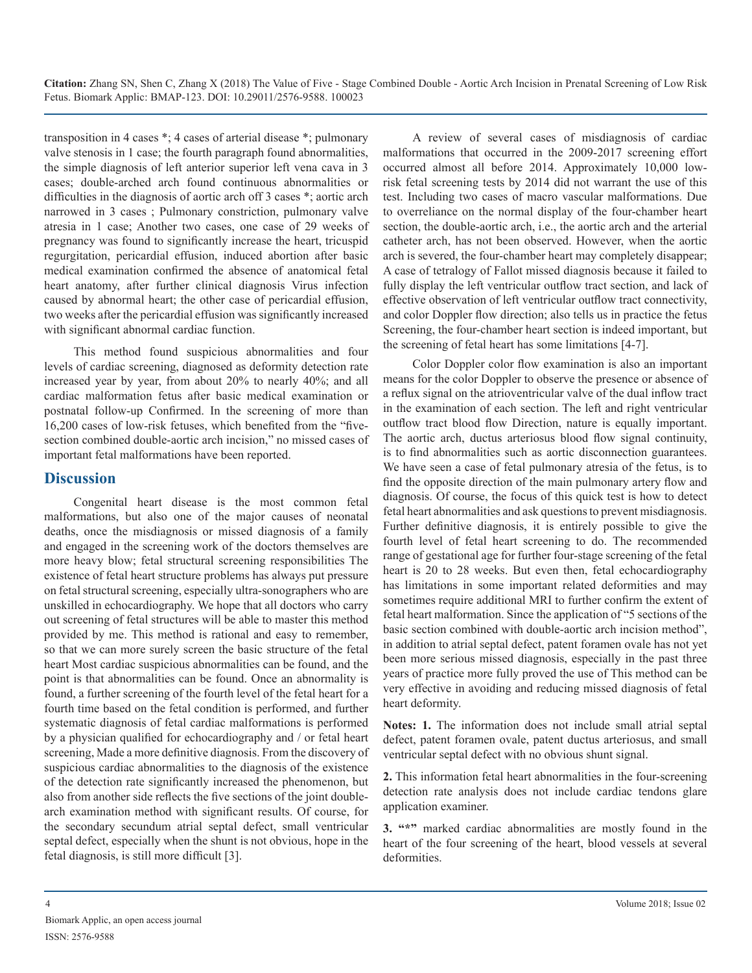transposition in 4 cases \*; 4 cases of arterial disease \*; pulmonary valve stenosis in 1 case; the fourth paragraph found abnormalities, the simple diagnosis of left anterior superior left vena cava in 3 cases; double-arched arch found continuous abnormalities or difficulties in the diagnosis of aortic arch off 3 cases \*; aortic arch narrowed in 3 cases ; Pulmonary constriction, pulmonary valve atresia in 1 case; Another two cases, one case of 29 weeks of pregnancy was found to significantly increase the heart, tricuspid regurgitation, pericardial effusion, induced abortion after basic medical examination confirmed the absence of anatomical fetal heart anatomy, after further clinical diagnosis Virus infection caused by abnormal heart; the other case of pericardial effusion, two weeks after the pericardial effusion was significantly increased with significant abnormal cardiac function.

This method found suspicious abnormalities and four levels of cardiac screening, diagnosed as deformity detection rate increased year by year, from about 20% to nearly 40%; and all cardiac malformation fetus after basic medical examination or postnatal follow-up Confirmed. In the screening of more than 16,200 cases of low-risk fetuses, which benefited from the "fivesection combined double-aortic arch incision," no missed cases of important fetal malformations have been reported.

# **Discussion**

Congenital heart disease is the most common fetal malformations, but also one of the major causes of neonatal deaths, once the misdiagnosis or missed diagnosis of a family and engaged in the screening work of the doctors themselves are more heavy blow; fetal structural screening responsibilities The existence of fetal heart structure problems has always put pressure on fetal structural screening, especially ultra-sonographers who are unskilled in echocardiography. We hope that all doctors who carry out screening of fetal structures will be able to master this method provided by me. This method is rational and easy to remember, so that we can more surely screen the basic structure of the fetal heart Most cardiac suspicious abnormalities can be found, and the point is that abnormalities can be found. Once an abnormality is found, a further screening of the fourth level of the fetal heart for a fourth time based on the fetal condition is performed, and further systematic diagnosis of fetal cardiac malformations is performed by a physician qualified for echocardiography and / or fetal heart screening, Made a more definitive diagnosis. From the discovery of suspicious cardiac abnormalities to the diagnosis of the existence of the detection rate significantly increased the phenomenon, but also from another side reflects the five sections of the joint doublearch examination method with significant results. Of course, for the secondary secundum atrial septal defect, small ventricular septal defect, especially when the shunt is not obvious, hope in the fetal diagnosis, is still more difficult [3].

A review of several cases of misdiagnosis of cardiac malformations that occurred in the 2009-2017 screening effort occurred almost all before 2014. Approximately 10,000 lowrisk fetal screening tests by 2014 did not warrant the use of this test. Including two cases of macro vascular malformations. Due to overreliance on the normal display of the four-chamber heart section, the double-aortic arch, i.e., the aortic arch and the arterial catheter arch, has not been observed. However, when the aortic arch is severed, the four-chamber heart may completely disappear; A case of tetralogy of Fallot missed diagnosis because it failed to fully display the left ventricular outflow tract section, and lack of effective observation of left ventricular outflow tract connectivity, and color Doppler flow direction; also tells us in practice the fetus Screening, the four-chamber heart section is indeed important, but the screening of fetal heart has some limitations [4-7].

Color Doppler color flow examination is also an important means for the color Doppler to observe the presence or absence of a reflux signal on the atrioventricular valve of the dual inflow tract in the examination of each section. The left and right ventricular outflow tract blood flow Direction, nature is equally important. The aortic arch, ductus arteriosus blood flow signal continuity, is to find abnormalities such as aortic disconnection guarantees. We have seen a case of fetal pulmonary atresia of the fetus, is to find the opposite direction of the main pulmonary artery flow and diagnosis. Of course, the focus of this quick test is how to detect fetal heart abnormalities and ask questions to prevent misdiagnosis. Further definitive diagnosis, it is entirely possible to give the fourth level of fetal heart screening to do. The recommended range of gestational age for further four-stage screening of the fetal heart is 20 to 28 weeks. But even then, fetal echocardiography has limitations in some important related deformities and may sometimes require additional MRI to further confirm the extent of fetal heart malformation. Since the application of "5 sections of the basic section combined with double-aortic arch incision method", in addition to atrial septal defect, patent foramen ovale has not yet been more serious missed diagnosis, especially in the past three years of practice more fully proved the use of This method can be very effective in avoiding and reducing missed diagnosis of fetal heart deformity.

**Notes: 1.** The information does not include small atrial septal defect, patent foramen ovale, patent ductus arteriosus, and small ventricular septal defect with no obvious shunt signal.

**2.** This information fetal heart abnormalities in the four-screening detection rate analysis does not include cardiac tendons glare application examiner.

**3. "\*"** marked cardiac abnormalities are mostly found in the heart of the four screening of the heart, blood vessels at several deformities.